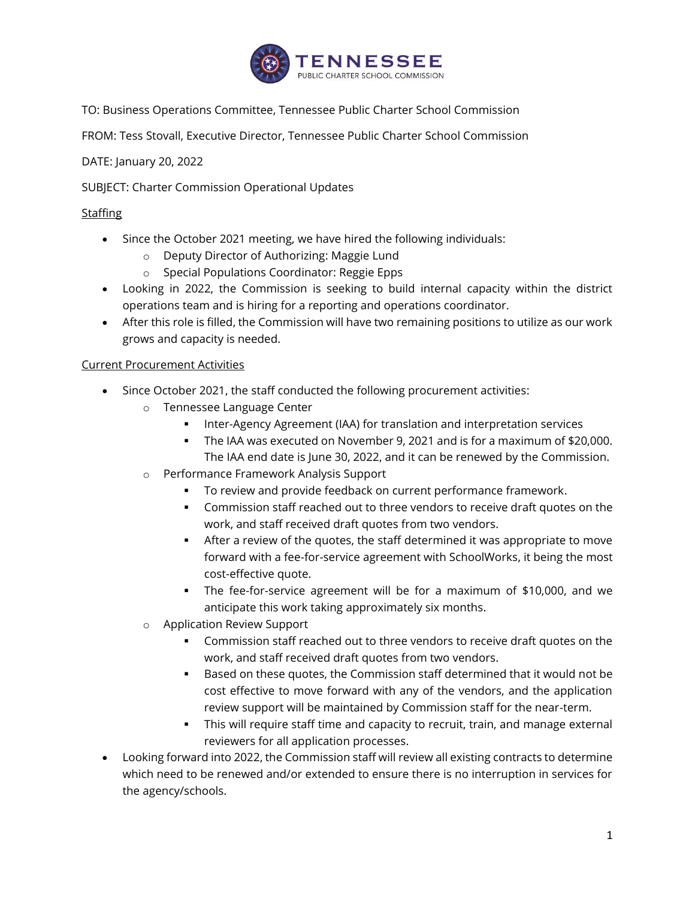

TO: Business Operations Committee, Tennessee Public Charter School Commission

FROM: Tess Stovall, Executive Director, Tennessee Public Charter School Commission

DATE: January 20, 2022

SUBJECT: Charter Commission Operational Updates

## **Staffing**

- Since the October 2021 meeting, we have hired the following individuals:
	- o Deputy Director of Authorizing: Maggie Lund
	- o Special Populations Coordinator: Reggie Epps
- Looking in 2022, the Commission is seeking to build internal capacity within the district operations team and is hiring for a reporting and operations coordinator.
- After this role is filled, the Commission will have two remaining positions to utilize as our work grows and capacity is needed.

## Current Procurement Activities

- Since October 2021, the staff conducted the following procurement activities:
	- o Tennessee Language Center
		- Inter-Agency Agreement (IAA) for translation and interpretation services
		- The IAA was executed on November 9, 2021 and is for a maximum of \$20,000. The IAA end date is June 30, 2022, and it can be renewed by the Commission.
	- o Performance Framework Analysis Support
		- To review and provide feedback on current performance framework.
		- **•** Commission staff reached out to three vendors to receive draft quotes on the work, and staff received draft quotes from two vendors.
		- **EXEL After a review of the quotes, the staff determined it was appropriate to move** forward with a fee-for-service agreement with SchoolWorks, it being the most cost-effective quote.
		- The fee-for-service agreement will be for a maximum of \$10,000, and we anticipate this work taking approximately six months.
	- o Application Review Support
		- Commission staff reached out to three vendors to receive draft quotes on the work, and staff received draft quotes from two vendors.
		- Based on these quotes, the Commission staff determined that it would not be cost effective to move forward with any of the vendors, and the application review support will be maintained by Commission staff for the near-term.
		- **This will require staff time and capacity to recruit, train, and manage external** reviewers for all application processes.
- Looking forward into 2022, the Commission staff will review all existing contracts to determine which need to be renewed and/or extended to ensure there is no interruption in services for the agency/schools.